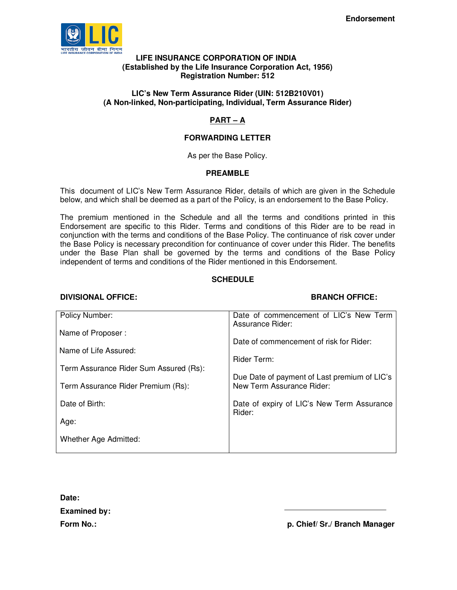

#### **LIFE INSURANCE CORPORATION OF INDIA (Established by the Life Insurance Corporation Act, 1956) Registration Number: 512**

# **LIC's New Term Assurance Rider (UIN: 512B210V01) (A Non-linked, Non-participating, Individual, Term Assurance Rider)**

# **PART – A**

# **FORWARDING LETTER**

As per the Base Policy.

# **PREAMBLE**

This document of LIC's New Term Assurance Rider, details of which are given in the Schedule below, and which shall be deemed as a part of the Policy, is an endorsement to the Base Policy.

The premium mentioned in the Schedule and all the terms and conditions printed in this Endorsement are specific to this Rider. Terms and conditions of this Rider are to be read in conjunction with the terms and conditions of the Base Policy. The continuance of risk cover under the Base Policy is necessary precondition for continuance of cover under this Rider. The benefits under the Base Plan shall be governed by the terms and conditions of the Base Policy independent of terms and conditions of the Rider mentioned in this Endorsement.

# **SCHEDULE**

# **DIVISIONAL OFFICE: BRANCH OFFICE:**

| <b>Policy Number:</b>                  | Date of commencement of LIC's New Term<br>Assurance Rider:                |
|----------------------------------------|---------------------------------------------------------------------------|
| Name of Proposer:                      | Date of commencement of risk for Rider:                                   |
| Name of Life Assured:                  | Rider Term:                                                               |
| Term Assurance Rider Sum Assured (Rs): |                                                                           |
| Term Assurance Rider Premium (Rs):     | Due Date of payment of Last premium of LIC's<br>New Term Assurance Rider: |
| Date of Birth:                         | Date of expiry of LIC's New Term Assurance<br>Rider:                      |
| Age:                                   |                                                                           |
| Whether Age Admitted:                  |                                                                           |
|                                        |                                                                           |

**Date: Examined by:** 

Form No.: **p. Chief/ Sr./ Branch Manager**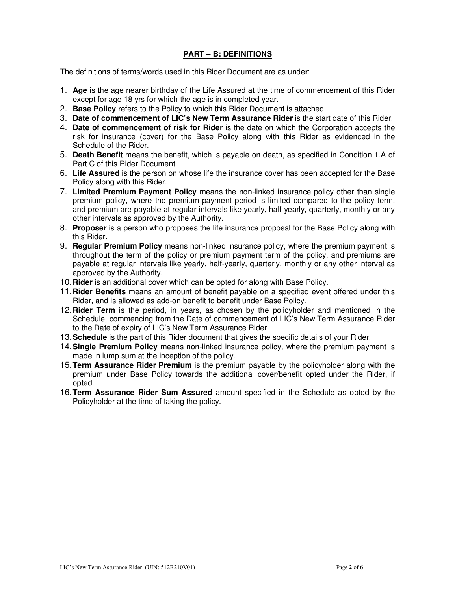# **PART – B: DEFINITIONS**

The definitions of terms/words used in this Rider Document are as under:

- 1. **Age** is the age nearer birthday of the Life Assured at the time of commencement of this Rider except for age 18 yrs for which the age is in completed year.
- 2. **Base Policy** refers to the Policy to which this Rider Document is attached.
- 3. **Date of commencement of LIC's New Term Assurance Rider** is the start date of this Rider.
- 4. **Date of commencement of risk for Rider** is the date on which the Corporation accepts the risk for insurance (cover) for the Base Policy along with this Rider as evidenced in the Schedule of the Rider.
- 5. **Death Benefit** means the benefit, which is payable on death, as specified in Condition 1.A of Part C of this Rider Document.
- 6. **Life Assured** is the person on whose life the insurance cover has been accepted for the Base Policy along with this Rider.
- 7. **Limited Premium Payment Policy** means the non-linked insurance policy other than single premium policy, where the premium payment period is limited compared to the policy term, and premium are payable at regular intervals like yearly, half yearly, quarterly, monthly or any other intervals as approved by the Authority.
- 8. **Proposer** is a person who proposes the life insurance proposal for the Base Policy along with this Rider.
- 9. **Regular Premium Policy** means non-linked insurance policy, where the premium payment is throughout the term of the policy or premium payment term of the policy, and premiums are payable at regular intervals like yearly, half-yearly, quarterly, monthly or any other interval as approved by the Authority.
- 10. **Rider** is an additional cover which can be opted for along with Base Policy.
- 11. **Rider Benefits** means an amount of benefit payable on a specified event offered under this Rider, and is allowed as add-on benefit to benefit under Base Policy.
- 12. **Rider Term** is the period, in years, as chosen by the policyholder and mentioned in the Schedule, commencing from the Date of commencement of LIC's New Term Assurance Rider to the Date of expiry of LIC's New Term Assurance Rider
- 13. **Schedule** is the part of this Rider document that gives the specific details of your Rider.
- 14. **Single Premium Policy** means non-linked insurance policy, where the premium payment is made in lump sum at the inception of the policy.
- 15. **Term Assurance Rider Premium** is the premium payable by the policyholder along with the premium under Base Policy towards the additional cover/benefit opted under the Rider, if opted.
- 16. **Term Assurance Rider Sum Assured** amount specified in the Schedule as opted by the Policyholder at the time of taking the policy.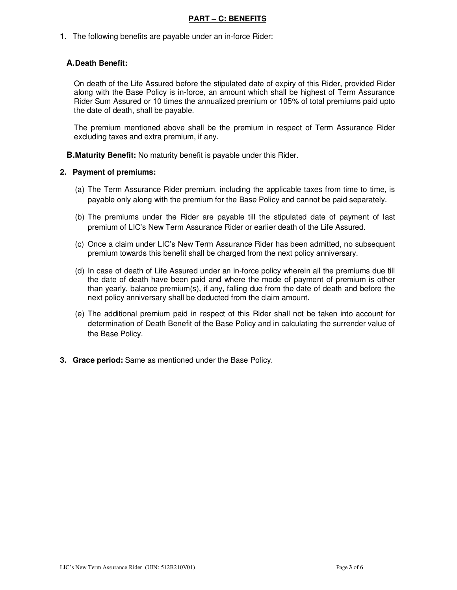# **PART – C: BENEFITS**

**1.** The following benefits are payable under an in-force Rider:

# **A. Death Benefit:**

On death of the Life Assured before the stipulated date of expiry of this Rider, provided Rider along with the Base Policy is in-force, an amount which shall be highest of Term Assurance Rider Sum Assured or 10 times the annualized premium or 105% of total premiums paid upto the date of death, shall be payable.

The premium mentioned above shall be the premium in respect of Term Assurance Rider excluding taxes and extra premium, if any.

**B. Maturity Benefit:** No maturity benefit is payable under this Rider.

#### **2. Payment of premiums:**

- (a) The Term Assurance Rider premium, including the applicable taxes from time to time, is payable only along with the premium for the Base Policy and cannot be paid separately.
- (b) The premiums under the Rider are payable till the stipulated date of payment of last premium of LIC's New Term Assurance Rider or earlier death of the Life Assured.
- (c) Once a claim under LIC's New Term Assurance Rider has been admitted, no subsequent premium towards this benefit shall be charged from the next policy anniversary.
- (d) In case of death of Life Assured under an in-force policy wherein all the premiums due till the date of death have been paid and where the mode of payment of premium is other than yearly, balance premium(s), if any, falling due from the date of death and before the next policy anniversary shall be deducted from the claim amount.
- (e) The additional premium paid in respect of this Rider shall not be taken into account for determination of Death Benefit of the Base Policy and in calculating the surrender value of the Base Policy.
- **3. Grace period:** Same as mentioned under the Base Policy.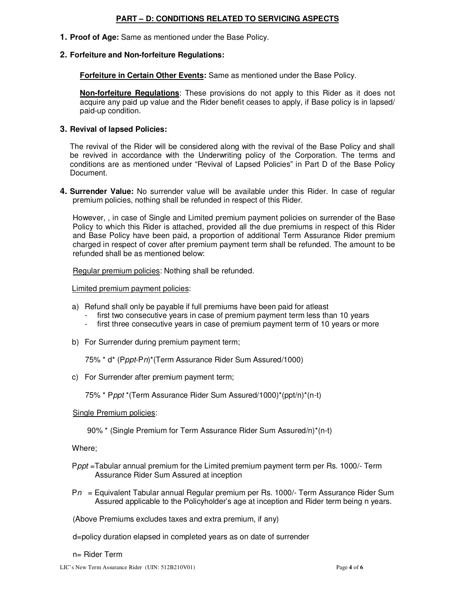# **PART – D: CONDITIONS RELATED TO SERVICING ASPECTS**

**1. Proof of Age:** Same as mentioned under the Base Policy.

### **2. Forfeiture and Non-forfeiture Regulations:**

**Forfeiture in Certain Other Events:** Same as mentioned under the Base Policy.

**Non-forfeiture Regulations**: These provisions do not apply to this Rider as it does not acquire any paid up value and the Rider benefit ceases to apply, if Base policy is in lapsed/ paid-up condition.

### **3. Revival of lapsed Policies:**

The revival of the Rider will be considered along with the revival of the Base Policy and shall be revived in accordance with the Underwriting policy of the Corporation. The terms and conditions are as mentioned under "Revival of Lapsed Policies" in Part D of the Base Policy Document.

**4. Surrender Value:** No surrender value will be available under this Rider. In case of regular premium policies, nothing shall be refunded in respect of this Rider.

However, , in case of Single and Limited premium payment policies on surrender of the Base Policy to which this Rider is attached, provided all the due premiums in respect of this Rider and Base Policy have been paid, a proportion of additional Term Assurance Rider premium charged in respect of cover after premium payment term shall be refunded. The amount to be refunded shall be as mentioned below:

Regular premium policies: Nothing shall be refunded.

Limited premium payment policies:

- a) Refund shall only be payable if full premiums have been paid for atleast
	- first two consecutive years in case of premium payment term less than 10 years
	- first three consecutive years in case of premium payment term of 10 years or more
- b) For Surrender during premium payment term;

75% \* d\* (Pppt-Pn)\*(Term Assurance Rider Sum Assured/1000)

c) For Surrender after premium payment term;

75% \* Pppt \*(Term Assurance Rider Sum Assured/1000)\*(ppt/n)\*(n-t)

#### Single Premium policies:

90% \* (Single Premium for Term Assurance Rider Sum Assured/n)\*(n-t)

Where;

- Pppt =Tabular annual premium for the Limited premium payment term per Rs. 1000/- Term Assurance Rider Sum Assured at inception
- $Pn =$  Equivalent Tabular annual Regular premium per Rs. 1000/- Term Assurance Rider Sum Assured applicable to the Policyholder's age at inception and Rider term being n years.

(Above Premiums excludes taxes and extra premium, if any)

d=policy duration elapsed in completed years as on date of surrender

n= Rider Term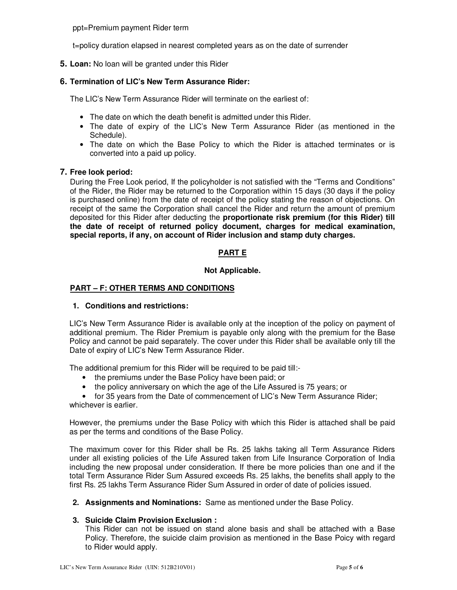ppt=Premium payment Rider term

t=policy duration elapsed in nearest completed years as on the date of surrender

**5. Loan:** No loan will be granted under this Rider

# **6. Termination of LIC's New Term Assurance Rider:**

The LIC's New Term Assurance Rider will terminate on the earliest of:

- The date on which the death benefit is admitted under this Rider.
- The date of expiry of the LIC's New Term Assurance Rider (as mentioned in the Schedule).
- The date on which the Base Policy to which the Rider is attached terminates or is converted into a paid up policy.

## **7. Free look period:**

During the Free Look period, If the policyholder is not satisfied with the "Terms and Conditions" of the Rider, the Rider may be returned to the Corporation within 15 days (30 days if the policy is purchased online) from the date of receipt of the policy stating the reason of objections. On receipt of the same the Corporation shall cancel the Rider and return the amount of premium deposited for this Rider after deducting the **proportionate risk premium (for this Rider) till the date of receipt of returned policy document, charges for medical examination, special reports, if any, on account of Rider inclusion and stamp duty charges.**

# **PART E**

## **Not Applicable.**

# **PART – F: OTHER TERMS AND CONDITIONS**

## **1. Conditions and restrictions:**

LIC's New Term Assurance Rider is available only at the inception of the policy on payment of additional premium. The Rider Premium is payable only along with the premium for the Base Policy and cannot be paid separately. The cover under this Rider shall be available only till the Date of expiry of LIC's New Term Assurance Rider.

The additional premium for this Rider will be required to be paid till:-

- the premiums under the Base Policy have been paid; or
- the policy anniversary on which the age of the Life Assured is 75 years; or

• for 35 years from the Date of commencement of LIC's New Term Assurance Rider; whichever is earlier.

However, the premiums under the Base Policy with which this Rider is attached shall be paid as per the terms and conditions of the Base Policy.

The maximum cover for this Rider shall be Rs. 25 lakhs taking all Term Assurance Riders under all existing policies of the Life Assured taken from Life Insurance Corporation of India including the new proposal under consideration. If there be more policies than one and if the total Term Assurance Rider Sum Assured exceeds Rs. 25 lakhs, the benefits shall apply to the first Rs. 25 lakhs Term Assurance Rider Sum Assured in order of date of policies issued.

**2. Assignments and Nominations:** Same as mentioned under the Base Policy.

## **3. Suicide Claim Provision Exclusion :**

This Rider can not be issued on stand alone basis and shall be attached with a Base Policy. Therefore, the suicide claim provision as mentioned in the Base Poicy with regard to Rider would apply.